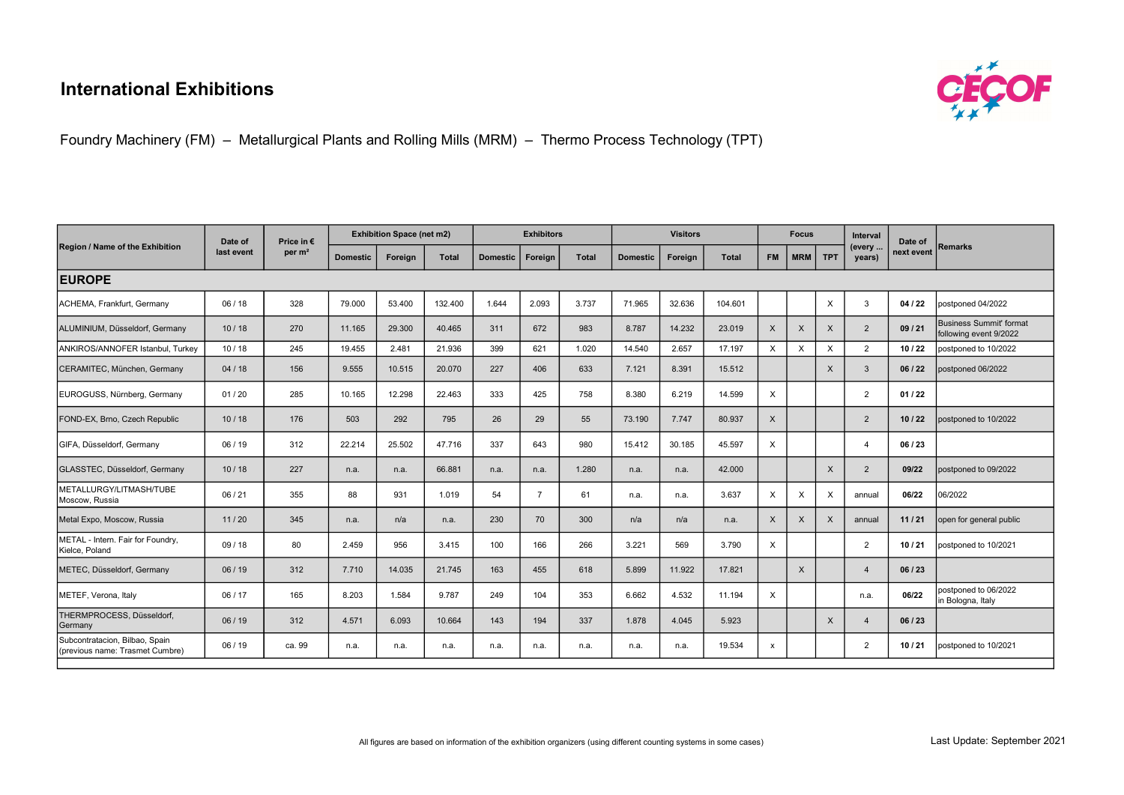## International Exhibitions



Foundry Machinery (FM) – Metallurgical Plants and Rolling Mills (MRM) – Thermo Process Technology (TPT)

| Region / Name of the Exhibition                                   | Date of<br>last event | Price in €<br>per $m2$ | <b>Exhibition Space (net m2)</b> |         |              | <b>Exhibitors</b> |                |              | <b>Visitors</b> |         |              |              | <b>Focus</b> |            | <b>Interval</b>  | Date of    |                                                   |
|-------------------------------------------------------------------|-----------------------|------------------------|----------------------------------|---------|--------------|-------------------|----------------|--------------|-----------------|---------|--------------|--------------|--------------|------------|------------------|------------|---------------------------------------------------|
|                                                                   |                       |                        | <b>Domestic</b>                  | Foreign | <b>Total</b> | <b>Domestic</b>   | Foreign        | <b>Total</b> | <b>Domestic</b> | Foreign | <b>Total</b> | <b>FM</b>    | <b>MRM</b>   | <b>TPT</b> | (every<br>years) | next event | <b>IRemarks</b>                                   |
| <b>EUROPE</b>                                                     |                       |                        |                                  |         |              |                   |                |              |                 |         |              |              |              |            |                  |            |                                                   |
| ACHEMA, Frankfurt, Germany                                        | 06/18                 | 328                    | 79.000                           | 53.400  | 132.400      | 1.644             | 2.093          | 3.737        | 71.965          | 32.636  | 104.601      |              |              | X          | 3                | 04/22      | postponed 04/2022                                 |
| ALUMINIUM, Düsseldorf, Germany                                    | 10/18                 | 270                    | 11.165                           | 29,300  | 40.465       | 311               | 672            | 983          | 8.787           | 14.232  | 23.019       | $\times$     | X            | X          | $\overline{2}$   | 09/21      | Business Summit' format<br>following event 9/2022 |
| ANKIROS/ANNOFER Istanbul, Turkey                                  | 10/18                 | 245                    | 19.455                           | 2.481   | 21.936       | 399               | 621            | 1.020        | 14.540          | 2.657   | 17.197       | X            | X            | X          | $\overline{2}$   | 10/22      | postponed to 10/2022                              |
| CERAMITEC, München, Germany                                       | 04/18                 | 156                    | 9.555                            | 10.515  | 20.070       | 227               | 406            | 633          | 7.121           | 8.391   | 15.512       |              |              | X          | 3                | 06/22      | postponed 06/2022                                 |
| EUROGUSS, Nürnberg, Germany                                       | 01/20                 | 285                    | 10.165                           | 12.298  | 22.463       | 333               | 425            | 758          | 8.380           | 6.219   | 14.599       | $\times$     |              |            | $\overline{2}$   | 01/22      |                                                   |
| FOND-EX, Brno, Czech Republic                                     | 10/18                 | 176                    | 503                              | 292     | 795          | 26                | 29             | 55           | 73.190          | 7.747   | 80.937       | $\times$     |              |            | 2                | 10/22      | postponed to 10/2022                              |
| GIFA, Düsseldorf, Germany                                         | 06 / 19               | 312                    | 22.214                           | 25.502  | 47.716       | 337               | 643            | 980          | 15.412          | 30.185  | 45.597       | $\times$     |              |            | $\overline{4}$   | 06/23      |                                                   |
| GLASSTEC, Düsseldorf, Germany                                     | 10/18                 | 227                    | n.a.                             | n.a.    | 66.881       | n.a.              | n.a.           | 1.280        | n.a.            | n.a.    | 42,000       |              |              | X          | $\overline{2}$   | 09/22      | postponed to 09/2022                              |
| METALLURGY/LITMASH/TUBE<br>Moscow, Russia                         | 06/21                 | 355                    | 88                               | 931     | 1.019        | 54                | $\overline{7}$ | 61           | n.a.            | n.a.    | 3.637        | X            | X            | X          | annual           | 06/22      | 06/2022                                           |
| Metal Expo, Moscow, Russia                                        | 11/20                 | 345                    | n.a.                             | n/a     | n.a.         | 230               | 70             | 300          | n/a             | n/a     | n.a.         | $\times$     | X            | X          | annual           | 11/21      | open for general public                           |
| METAL - Intern. Fair for Foundry,<br>Kielce, Poland               | 09/18                 | 80                     | 2.459                            | 956     | 3.415        | 100               | 166            | 266          | 3.221           | 569     | 3.790        | X            |              |            | $\overline{2}$   | 10/21      | postponed to 10/2021                              |
| METEC, Düsseldorf, Germany                                        | 06/19                 | 312                    | 7.710                            | 14.035  | 21.745       | 163               | 455            | 618          | 5.899           | 11.922  | 17.821       |              | X            |            | $\overline{4}$   | 06/23      |                                                   |
| METEF, Verona, Italy                                              | 06 / 17               | 165                    | 8.203                            | 1.584   | 9.787        | 249               | 104            | 353          | 6.662           | 4.532   | 11.194       | $\times$     |              |            | n.a.             | 06/22      | postponed to 06/2022<br>in Bologna, Italy         |
| THERMPROCESS, Düsseldorf,<br>Germany                              | 06/19                 | 312                    | 4.571                            | 6.093   | 10.664       | 143               | 194            | 337          | 1.878           | 4.045   | 5.923        |              |              | X          | $\overline{4}$   | 06/23      |                                                   |
| Subcontratacion, Bilbao, Spain<br>(previous name: Trasmet Cumbre) | 06 / 19               | ca. 99                 | n.a.                             | n.a.    | n.a.         | n.a.              | n.a.           | n.a.         | n.a.            | n.a.    | 19.534       | $\mathsf{x}$ |              |            | 2                | 10/21      | lpostponed to 10/2021                             |